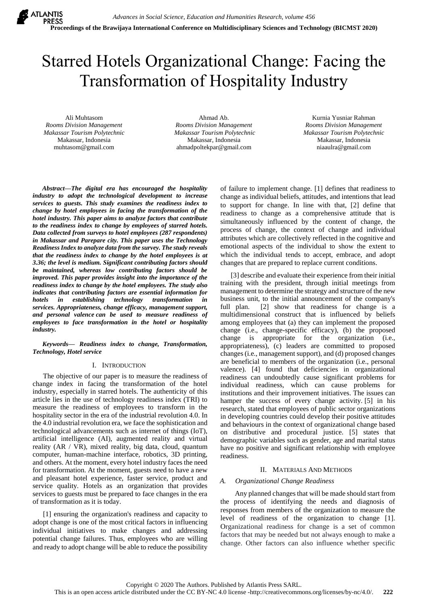# Starred Hotels Organizational Change: Facing the Transformation of Hospitality Industry

Ali Muhtasom *Rooms Division Management Makassar Tourism Polytechnic* Makassar, Indonesia muhtasom@gmail.com

Ahmad Ab. *Rooms Division Management Makassar Tourism Polytechnic* Makassar, Indonesia [ahmadpoltekpar@gmail.com](mailto:ahmadpoltekpar@gmail.com)

Kurnia Yusniar Rahman *Rooms Division Management Makassar Tourism Polytechnic* Makassar, Indonesia niaaulra@gmail.com

*Abstract***—***The digital era has encouraged the hospitality industry to adopt the technological development to increase services to guests. This study examines the readiness index to change by hotel employees in facing the transformation of the hotel industry. This paper aims to analyze factors that contribute to the readiness index to change by employees of starred hotels. Data collected from surveys to hotel employees (287 respondents) in Makassar and Parepare city. This paper uses the Technology Readiness Index to analyze data from the survey. The study reveals that the readiness index to change by the hotel employees is at 3.36; the level is medium. Significant contributing factors should be maintained, whereas low contributing factors should be improved. This paper provides insight into the importance of the readiness index to change by the hotel employees. The study also indicates that contributing factors are essential information for hotels in establishing technology transformation in services. Appropriateness, change efficacy, management support, and personal valence can be used to measure readiness of employees to face transformation in the hotel or hospitality industry.*

*Keywords— Readiness index to change, Transformation, Technology, Hotel service*

## I. INTRODUCTION

The objective of our paper is to measure the readiness of change index in facing the transformation of the hotel industry, especially in starred hotels. The authenticity of this article lies in the use of technology readiness index (TRI) to measure the readiness of employees to transform in the hospitality sector in the era of the industrial revolution 4.0. In the 4.0 industrial revolution era, we face the sophistication and technological advancements such as internet of things (IoT), artificial intelligence (AI), augmented reality and virtual reality (AR / VR), mixed reality, big data, cloud, quantum computer, human-machine interface, robotics, 3D printing, and others. At the moment, every hotel industry faces the need for transformation. At the moment, guests need to have a new and pleasant hotel experience, faster service, product and service quality. Hotels as an organization that provides services to guests must be prepared to face changes in the era of transformation as it is today.

[1] ensuring the organization's readiness and capacity to adopt change is one of the most critical factors in influencing individual initiatives to make changes and addressing potential change failures. Thus, employees who are willing and ready to adopt change will be able to reduce the possibility of failure to implement change. [1] defines that readiness to change as individual beliefs, attitudes, and intentions that lead to support for change. In line with that, [2] define that readiness to change as a comprehensive attitude that is simultaneously influenced by the content of change, the process of change, the context of change and individual attributes which are collectively reflected in the cognitive and emotional aspects of the individual to show the extent to which the individual tends to accept, embrace, and adopt changes that are prepared to replace current conditions.

[3] describe and evaluate their experience from their initial training with the president, through initial meetings from management to determine the strategy and structure of the new business unit, to the initial announcement of the company's full plan. [2] show that readiness for change is a multidimensional construct that is influenced by beliefs among employees that (a) they can implement the proposed change (i.e., change-specific efficacy), (b) the proposed change is appropriate for the organization (i.e., appropriateness), (c) leaders are committed to proposed changes (i.e., management support), and (d) proposed changes are beneficial to members of the organization (i.e., personal valence). [4] found that deficiencies in organizational readiness can undoubtedly cause significant problems for individual readiness, which can cause problems for institutions and their improvement initiatives. The issues can hamper the success of every change activity. [5] in his research, stated that employees of public sector organizations in developing countries could develop their positive attitudes and behaviours in the context of organizational change based on distributive and procedural justice. [5] states that demographic variables such as gender, age and marital status have no positive and significant relationship with employee readiness.

## II. MATERIALS AND METHODS

## *A. Organizational Change Readiness*

 Any planned changes that will be made should start from the process of identifying the needs and diagnosis of responses from members of the organization to measure the level of readiness of the organization to change [1]. Organizational readiness for change is a set of common factors that may be needed but not always enough to make a change. Other factors can also influence whether specific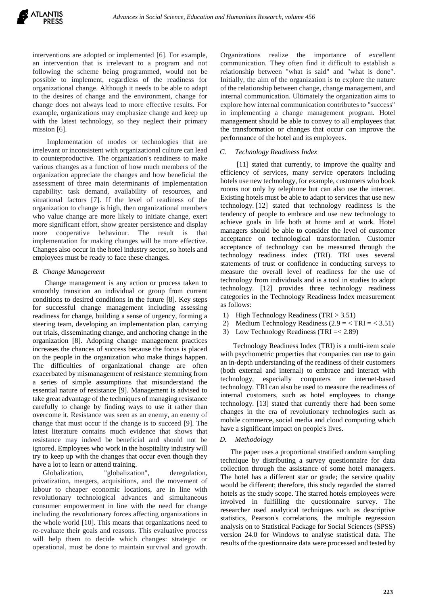interventions are adopted or implemented [6]. For example, an intervention that is irrelevant to a program and not following the scheme being programmed, would not be possible to implement, regardless of the readiness for organizational change. Although it needs to be able to adapt to the desires of change and the environment, change for change does not always lead to more effective results. For example, organizations may emphasize change and keep up with the latest technology, so they neglect their primary mission [6].

 Implementation of modes or technologies that are irrelevant or inconsistent with organizational culture can lead to counterproductive. The organization's readiness to make various changes as a function of how much members of the organization appreciate the changes and how beneficial the assessment of three main determinants of implementation capability: task demand, availability of resources, and situational factors [7]. If the level of readiness of the organization to change is high, then organizational members who value change are more likely to initiate change, exert more significant effort, show greater persistence and display more cooperative behaviour. The result is that implementation for making changes will be more effective. Changes also occur in the hotel industry sector, so hotels and employees must be ready to face these changes.

## *B. Change Management*

 Change management is any action or process taken to smoothly transition an individual or group from current conditions to desired conditions in the future [8]. Key steps for successful change management including assessing readiness for change, building a sense of urgency, forming a steering team, developing an implementation plan, carrying out trials, disseminating change, and anchoring change in the organization [8]. Adopting change management practices increases the chances of success because the focus is placed on the people in the organization who make things happen. The difficulties of organizational change are often exacerbated by mismanagement of resistance stemming from a series of simple assumptions that misunderstand the essential nature of resistance [9]. Management is advised to take great advantage of the techniques of managing resistance carefully to change by finding ways to use it rather than overcome it. Resistance was seen as an enemy, an enemy of change that must occur if the change is to succeed [9]. The latest literature contains much evidence that shows that resistance may indeed be beneficial and should not be ignored. Employees who work in the hospitality industry will try to keep up with the changes that occur even though they have a lot to learn or attend training.

Globalization, "globalization", deregulation, privatization, mergers, acquisitions, and the movement of labour to cheaper economic locations, are in line with revolutionary technological advances and simultaneous consumer empowerment in line with the need for change including the revolutionary forces affecting organizations in the whole world [10]. This means that organizations need to re-evaluate their goals and reasons. This evaluative process will help them to decide which changes: strategic or operational, must be done to maintain survival and growth.

Organizations realize the importance of excellent communication. They often find it difficult to establish a relationship between "what is said" and "what is done". Initially, the aim of the organization is to explore the nature of the relationship between change, change management, and internal communication. Ultimately the organization aims to explore how internal communication contributes to "success" in implementing a change management program. Hotel management should be able to convey to all employees that the transformation or changes that occur can improve the performance of the hotel and its employees.

### *C. Technology Readiness Index*

[11] stated that currently, to improve the quality and efficiency of services, many service operators including hotels use new technology, for example, customers who book rooms not only by telephone but can also use the internet. Existing hotels must be able to adapt to services that use new technology. [12] stated that technology readiness is the tendency of people to embrace and use new technology to achieve goals in life both at home and at work. Hotel managers should be able to consider the level of customer acceptance on technological transformation. Customer acceptance of technology can be measured through the technology readiness index (TRI). TRI uses several statements of trust or confidence in conducting surveys to measure the overall level of readiness for the use of technology from individuals and is a tool in studies to adopt technology. [12] provides three technology readiness categories in the Technology Readiness Index measurement as follows:

- 1) High Technology Readiness (TRI > 3.51)
- 2) Medium Technology Readiness  $(2.9 = \text{TRI} = \text{3.51})$
- 3) Low Technology Readiness (TRI =< 2.89)

 Technology Readiness Index (TRI) is a multi-item scale with psychometric properties that companies can use to gain an in-depth understanding of the readiness of their customers (both external and internal) to embrace and interact with technology, especially computers or internet-based technology. TRI can also be used to measure the readiness of internal customers, such as hotel employees to change technology. [13] stated that currently there had been some changes in the era of revolutionary technologies such as mobile commerce, social media and cloud computing which have a significant impact on people's lives.

#### *D. Methodology*

The paper uses a proportional stratified random sampling technique by distributing a survey questionnaire for data collection through the assistance of some hotel managers. The hotel has a different star or grade; the service quality would be different; therefore, this study regarded the starred hotels as the study scope. The starred hotels employees were involved in fulfilling the questionnaire survey. The researcher used analytical techniques such as descriptive statistics, Pearson's correlations, the multiple regression analysis on to Statistical Package for Social Sciences (SPSS) version 24.0 for Windows to analyse statistical data. The results of the questionnaire data were processed and tested by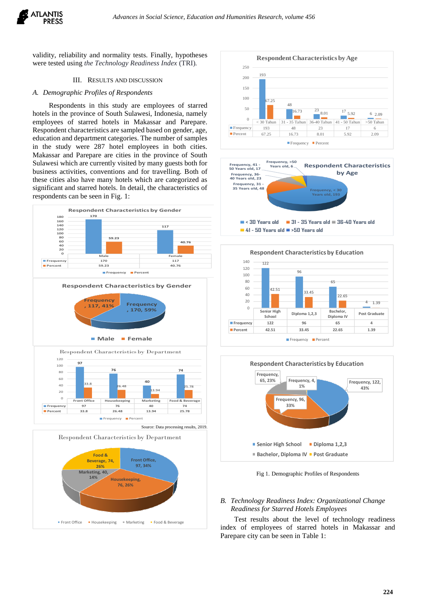

validity, reliability and normality tests. Finally, hypotheses were tested using *the Technology Readiness Index* (TRI)*.*

#### III. RESULTS AND DISCUSSION

#### *A. Demographic Profiles of Respondents*

Respondents in this study are employees of starred hotels in the province of South Sulawesi, Indonesia, namely employees of starred hotels in Makassar and Parepare. Respondent characteristics are sampled based on gender, age, education and department categories. The number of samples in the study were 287 hotel employees in both cities. Makassar and Parepare are cities in the province of South Sulawesi which are currently visited by many guests both for business activities, conventions and for travelling. Both of these cities also have many hotels which are categorized as significant and starred hotels. In detail, the characteristics of respondents can be seen in Fig. 1:













Fig 1. Demographic Profiles of Respondents

## *B. Technology Readiness Index: Organizational Change Readiness for Starred Hotels Employees*

 Test results about the level of technology readiness index of employees of starred hotels in Makassar and Parepare city can be seen in Table 1: